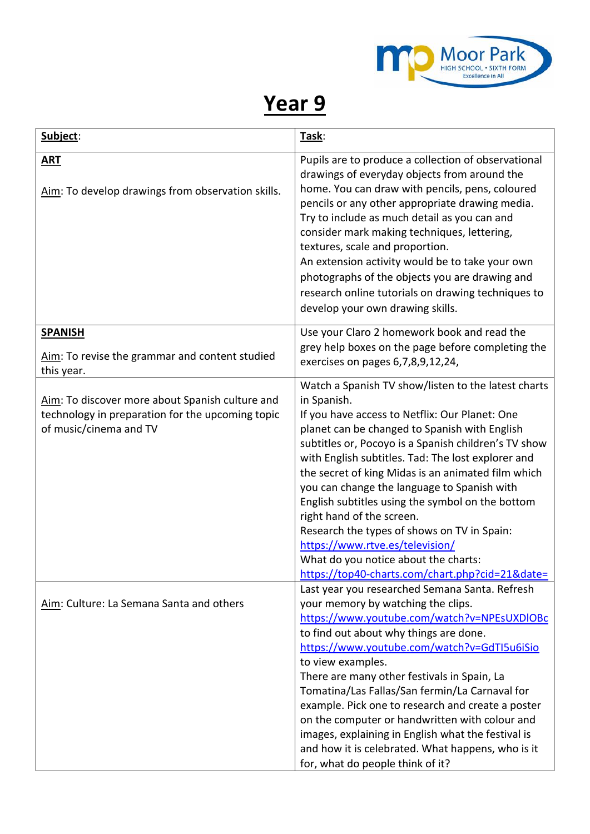

## **Year 9**

| Subject:                                                                                                                      | Task:                                                                                                                                                                                                                                                                                                                                                                                                                                                                                                                                                                                                                                                  |
|-------------------------------------------------------------------------------------------------------------------------------|--------------------------------------------------------------------------------------------------------------------------------------------------------------------------------------------------------------------------------------------------------------------------------------------------------------------------------------------------------------------------------------------------------------------------------------------------------------------------------------------------------------------------------------------------------------------------------------------------------------------------------------------------------|
| <b>ART</b><br>Aim: To develop drawings from observation skills.                                                               | Pupils are to produce a collection of observational<br>drawings of everyday objects from around the<br>home. You can draw with pencils, pens, coloured<br>pencils or any other appropriate drawing media.<br>Try to include as much detail as you can and<br>consider mark making techniques, lettering,<br>textures, scale and proportion.<br>An extension activity would be to take your own<br>photographs of the objects you are drawing and<br>research online tutorials on drawing techniques to<br>develop your own drawing skills.                                                                                                             |
| <b>SPANISH</b><br>Aim: To revise the grammar and content studied<br>this year.                                                | Use your Claro 2 homework book and read the<br>grey help boxes on the page before completing the<br>exercises on pages 6,7,8,9,12,24,                                                                                                                                                                                                                                                                                                                                                                                                                                                                                                                  |
| Aim: To discover more about Spanish culture and<br>technology in preparation for the upcoming topic<br>of music/cinema and TV | Watch a Spanish TV show/listen to the latest charts<br>in Spanish.<br>If you have access to Netflix: Our Planet: One<br>planet can be changed to Spanish with English<br>subtitles or, Pocoyo is a Spanish children's TV show<br>with English subtitles. Tad: The lost explorer and<br>the secret of king Midas is an animated film which<br>you can change the language to Spanish with<br>English subtitles using the symbol on the bottom<br>right hand of the screen.<br>Research the types of shows on TV in Spain:<br>https://www.rtve.es/television/<br>What do you notice about the charts:<br>https://top40-charts.com/chart.php?cid=21&date= |
| Aim: Culture: La Semana Santa and others                                                                                      | Last year you researched Semana Santa. Refresh<br>your memory by watching the clips.<br>https://www.youtube.com/watch?v=NPEsUXDIOBc<br>to find out about why things are done.<br>https://www.youtube.com/watch?v=GdTI5u6iSio<br>to view examples.<br>There are many other festivals in Spain, La<br>Tomatina/Las Fallas/San fermin/La Carnaval for<br>example. Pick one to research and create a poster<br>on the computer or handwritten with colour and<br>images, explaining in English what the festival is<br>and how it is celebrated. What happens, who is it<br>for, what do people think of it?                                               |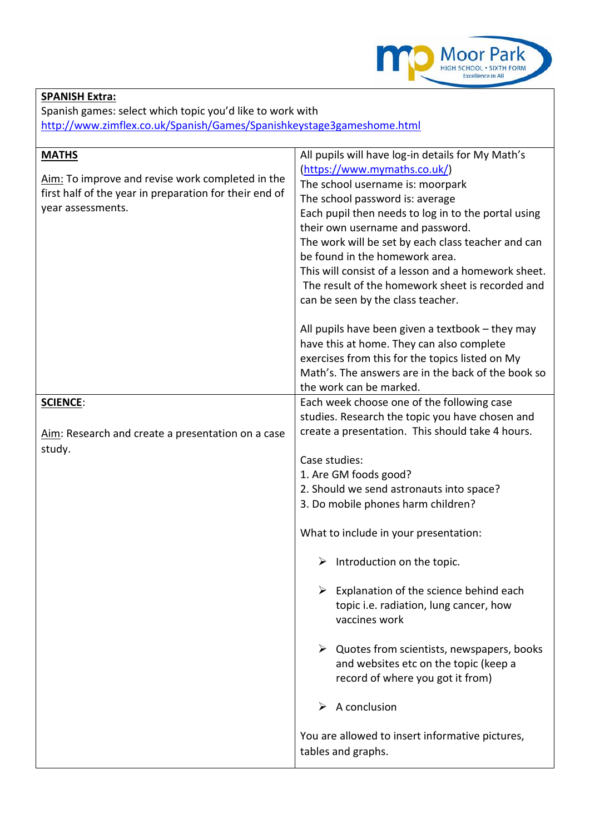

## **SPANISH Extra:**

Spanish games: select which topic you'd like to work with <http://www.zimflex.co.uk/Spanish/Games/Spanishkeystage3gameshome.html>

| <b>MATHS</b><br>Aim: To improve and revise work completed in the<br>first half of the year in preparation for their end of<br>year assessments. | All pupils will have log-in details for My Math's<br>(https://www.mymaths.co.uk/)<br>The school username is: moorpark<br>The school password is: average<br>Each pupil then needs to log in to the portal using<br>their own username and password.<br>The work will be set by each class teacher and can<br>be found in the homework area.<br>This will consist of a lesson and a homework sheet.<br>The result of the homework sheet is recorded and<br>can be seen by the class teacher. |
|-------------------------------------------------------------------------------------------------------------------------------------------------|---------------------------------------------------------------------------------------------------------------------------------------------------------------------------------------------------------------------------------------------------------------------------------------------------------------------------------------------------------------------------------------------------------------------------------------------------------------------------------------------|
|                                                                                                                                                 | All pupils have been given a textbook – they may<br>have this at home. They can also complete<br>exercises from this for the topics listed on My<br>Math's. The answers are in the back of the book so<br>the work can be marked.                                                                                                                                                                                                                                                           |
| <b>SCIENCE:</b>                                                                                                                                 | Each week choose one of the following case                                                                                                                                                                                                                                                                                                                                                                                                                                                  |
|                                                                                                                                                 | studies. Research the topic you have chosen and                                                                                                                                                                                                                                                                                                                                                                                                                                             |
| Aim: Research and create a presentation on a case                                                                                               | create a presentation. This should take 4 hours.                                                                                                                                                                                                                                                                                                                                                                                                                                            |
| study.                                                                                                                                          |                                                                                                                                                                                                                                                                                                                                                                                                                                                                                             |
|                                                                                                                                                 | Case studies:                                                                                                                                                                                                                                                                                                                                                                                                                                                                               |
|                                                                                                                                                 | 1. Are GM foods good?                                                                                                                                                                                                                                                                                                                                                                                                                                                                       |
|                                                                                                                                                 | 2. Should we send astronauts into space?                                                                                                                                                                                                                                                                                                                                                                                                                                                    |
|                                                                                                                                                 | 3. Do mobile phones harm children?                                                                                                                                                                                                                                                                                                                                                                                                                                                          |
|                                                                                                                                                 |                                                                                                                                                                                                                                                                                                                                                                                                                                                                                             |
|                                                                                                                                                 | What to include in your presentation:                                                                                                                                                                                                                                                                                                                                                                                                                                                       |
|                                                                                                                                                 | Introduction on the topic.<br>➤                                                                                                                                                                                                                                                                                                                                                                                                                                                             |
|                                                                                                                                                 | $\triangleright$ Explanation of the science behind each<br>topic i.e. radiation, lung cancer, how<br>vaccines work                                                                                                                                                                                                                                                                                                                                                                          |
|                                                                                                                                                 | $\triangleright$ Quotes from scientists, newspapers, books<br>and websites etc on the topic (keep a<br>record of where you got it from)                                                                                                                                                                                                                                                                                                                                                     |
|                                                                                                                                                 | A conclusion<br>➤                                                                                                                                                                                                                                                                                                                                                                                                                                                                           |
|                                                                                                                                                 | You are allowed to insert informative pictures,<br>tables and graphs.                                                                                                                                                                                                                                                                                                                                                                                                                       |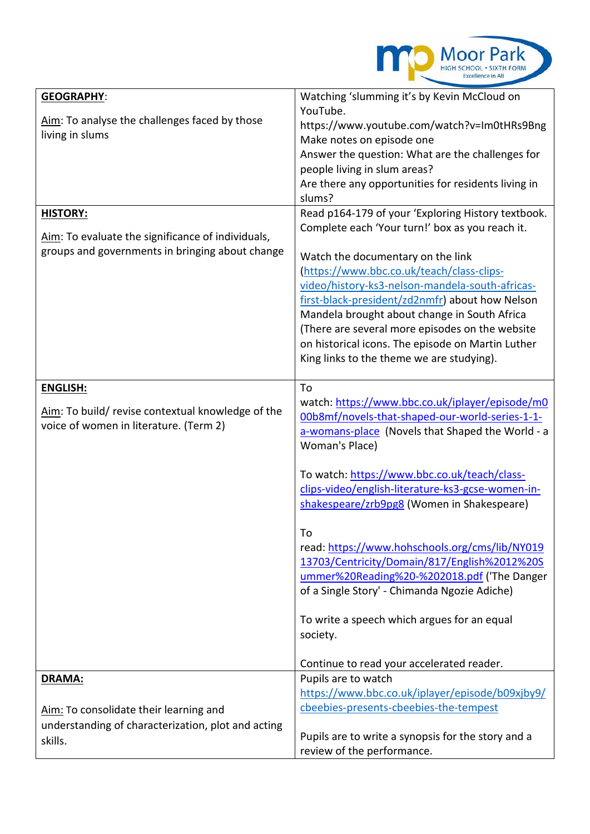

| <b>GEOGRAPHY:</b>                                  | Watching 'slumming it's by Kevin McCloud on                                         |
|----------------------------------------------------|-------------------------------------------------------------------------------------|
| Aim: To analyse the challenges faced by those      | YouTube.                                                                            |
| living in slums                                    | https://www.youtube.com/watch?v=Im0tHRs9Bng                                         |
|                                                    | Make notes on episode one                                                           |
|                                                    | Answer the question: What are the challenges for                                    |
|                                                    | people living in slum areas?<br>Are there any opportunities for residents living in |
|                                                    | slums?                                                                              |
| <b>HISTORY:</b>                                    | Read p164-179 of your 'Exploring History textbook.                                  |
|                                                    | Complete each 'Your turn!' box as you reach it.                                     |
| Aim: To evaluate the significance of individuals,  |                                                                                     |
| groups and governments in bringing about change    | Watch the documentary on the link                                                   |
|                                                    | (https://www.bbc.co.uk/teach/class-clips-                                           |
|                                                    | video/history-ks3-nelson-mandela-south-africas-                                     |
|                                                    | first-black-president/zd2nmfr) about how Nelson                                     |
|                                                    | Mandela brought about change in South Africa                                        |
|                                                    | (There are several more episodes on the website                                     |
|                                                    | on historical icons. The episode on Martin Luther                                   |
|                                                    | King links to the theme we are studying).                                           |
|                                                    |                                                                                     |
| <b>ENGLISH:</b>                                    | To                                                                                  |
|                                                    | watch: https://www.bbc.co.uk/iplayer/episode/m0                                     |
| Aim: To build/ revise contextual knowledge of the  | 00b8mf/novels-that-shaped-our-world-series-1-1-                                     |
| voice of women in literature. (Term 2)             | a-womans-place (Novels that Shaped the World - a                                    |
|                                                    | Woman's Place)                                                                      |
|                                                    |                                                                                     |
|                                                    | To watch: https://www.bbc.co.uk/teach/class-                                        |
|                                                    | clips-video/english-literature-ks3-gcse-women-in-                                   |
|                                                    | shakespeare/zrb9pg8 (Women in Shakespeare)                                          |
|                                                    | To                                                                                  |
|                                                    | read: https://www.hohschools.org/cms/lib/NY019                                      |
|                                                    | 13703/Centricity/Domain/817/English%2012%20S                                        |
|                                                    | ummer%20Reading%20-%202018.pdf ('The Danger                                         |
|                                                    | of a Single Story' - Chimanda Ngozie Adiche)                                        |
|                                                    |                                                                                     |
|                                                    | To write a speech which argues for an equal                                         |
|                                                    | society.                                                                            |
|                                                    |                                                                                     |
|                                                    | Continue to read your accelerated reader.                                           |
| DRAMA:                                             | Pupils are to watch                                                                 |
|                                                    | https://www.bbc.co.uk/iplayer/episode/b09xjby9/                                     |
| Aim: To consolidate their learning and             | cbeebies-presents-cbeebies-the-tempest                                              |
| understanding of characterization, plot and acting |                                                                                     |
| skills.                                            | Pupils are to write a synopsis for the story and a                                  |
|                                                    | review of the performance.                                                          |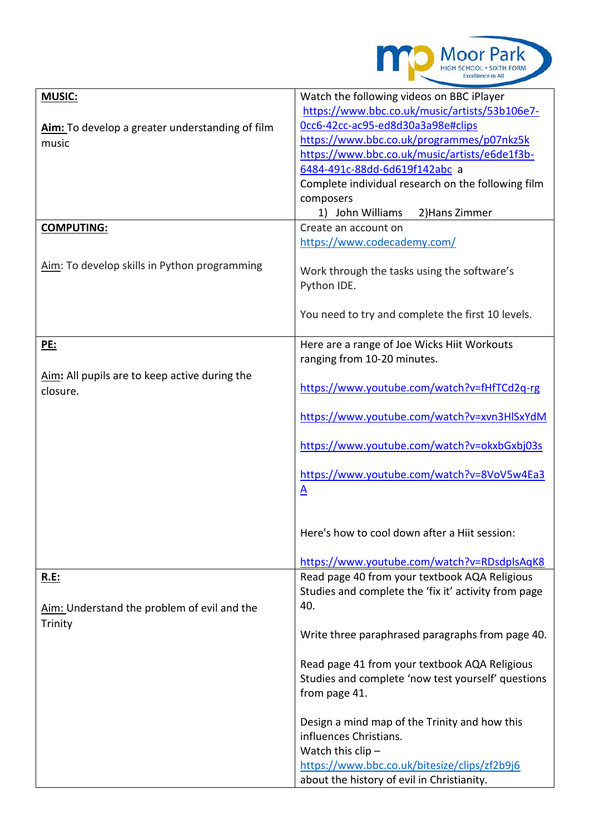

| <b>MUSIC:</b>                                   | Watch the following videos on BBC iPlayer                                                           |
|-------------------------------------------------|-----------------------------------------------------------------------------------------------------|
|                                                 | https://www.bbc.co.uk/music/artists/53b106e7-                                                       |
| Aim: To develop a greater understanding of film | Occ6-42cc-ac95-ed8d30a3a98e#clips                                                                   |
| music                                           | https://www.bbc.co.uk/programmes/p07nkz5k                                                           |
|                                                 | https://www.bbc.co.uk/music/artists/e6de1f3b-                                                       |
|                                                 | 6484-491c-88dd-6d619f142abc a                                                                       |
|                                                 | Complete individual research on the following film                                                  |
|                                                 | composers                                                                                           |
|                                                 | 1) John Williams<br>2) Hans Zimmer                                                                  |
| <b>COMPUTING:</b>                               | Create an account on                                                                                |
|                                                 | https://www.codecademy.com/                                                                         |
|                                                 |                                                                                                     |
| Aim: To develop skills in Python programming    | Work through the tasks using the software's                                                         |
|                                                 |                                                                                                     |
|                                                 | Python IDE.                                                                                         |
|                                                 |                                                                                                     |
|                                                 | You need to try and complete the first 10 levels.                                                   |
|                                                 |                                                                                                     |
| <u>PE:</u>                                      | Here are a range of Joe Wicks Hiit Workouts                                                         |
|                                                 | ranging from 10-20 minutes.                                                                         |
| Aim: All pupils are to keep active during the   |                                                                                                     |
| closure.                                        | https://www.youtube.com/watch?v=fHfTCd2q-rg                                                         |
|                                                 |                                                                                                     |
|                                                 | https://www.youtube.com/watch?v=xvn3HlSxYdM                                                         |
|                                                 |                                                                                                     |
|                                                 | https://www.youtube.com/watch?v=okxbGxbj03s                                                         |
|                                                 |                                                                                                     |
|                                                 | https://www.youtube.com/watch?v=8VoV5w4Ea3                                                          |
|                                                 | $\underline{A}$                                                                                     |
|                                                 |                                                                                                     |
|                                                 |                                                                                                     |
|                                                 | Here's how to cool down after a Hiit session:                                                       |
|                                                 |                                                                                                     |
|                                                 | https://www.youtube.com/watch?v=RDsdplsAqK8                                                         |
| <u>R.E:</u>                                     | Read page 40 from your textbook AQA Religious                                                       |
|                                                 | Studies and complete the 'fix it' activity from page                                                |
| Aim: Understand the problem of evil and the     | 40.                                                                                                 |
|                                                 |                                                                                                     |
| Trinity                                         | Write three paraphrased paragraphs from page 40.                                                    |
|                                                 |                                                                                                     |
|                                                 |                                                                                                     |
|                                                 | Read page 41 from your textbook AQA Religious<br>Studies and complete 'now test yourself' questions |
|                                                 |                                                                                                     |
|                                                 | from page 41.                                                                                       |
|                                                 |                                                                                                     |
|                                                 | Design a mind map of the Trinity and how this                                                       |
|                                                 | influences Christians.                                                                              |
|                                                 | Watch this clip $-$                                                                                 |
|                                                 | https://www.bbc.co.uk/bitesize/clips/zf2b9j6                                                        |
|                                                 | about the history of evil in Christianity.                                                          |